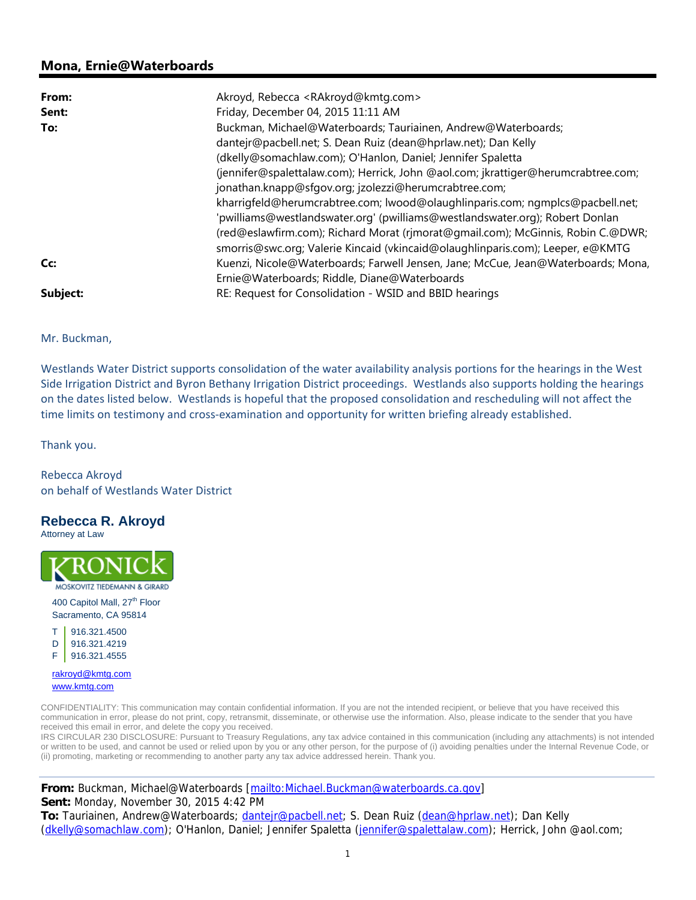## **Mona, Ernie@Waterboards**

| From:    | Akroyd, Rebecca <rakroyd@kmtg.com></rakroyd@kmtg.com>                             |
|----------|-----------------------------------------------------------------------------------|
| Sent:    | Friday, December 04, 2015 11:11 AM                                                |
| To:      | Buckman, Michael@Waterboards; Tauriainen, Andrew@Waterboards;                     |
|          | dantejr@pacbell.net; S. Dean Ruiz (dean@hprlaw.net); Dan Kelly                    |
|          | (dkelly@somachlaw.com); O'Hanlon, Daniel; Jennifer Spaletta                       |
|          | (jennifer@spalettalaw.com); Herrick, John @aol.com; jkrattiger@herumcrabtree.com; |
|          | jonathan.knapp@sfgov.org; jzolezzi@herumcrabtree.com;                             |
|          | kharrigfeld@herumcrabtree.com; lwood@olaughlinparis.com; ngmplcs@pacbell.net;     |
|          | 'pwilliams@westlandswater.org' (pwilliams@westlandswater.org); Robert Donlan      |
|          | (red@eslawfirm.com); Richard Morat (rjmorat@gmail.com); McGinnis, Robin C.@DWR;   |
|          | smorris@swc.org; Valerie Kincaid (vkincaid@olaughlinparis.com); Leeper, e@KMTG    |
| Cc:      | Kuenzi, Nicole@Waterboards; Farwell Jensen, Jane; McCue, Jean@Waterboards; Mona,  |
|          | Ernie@Waterboards; Riddle, Diane@Waterboards                                      |
| Subject: | RE: Request for Consolidation - WSID and BBID hearings                            |

Mr. Buckman,

Westlands Water District supports consolidation of the water availability analysis portions for the hearings in the West Side Irrigation District and Byron Bethany Irrigation District proceedings. Westlands also supports holding the hearings on the dates listed below. Westlands is hopeful that the proposed consolidation and rescheduling will not affect the time limits on testimony and cross-examination and opportunity for written briefing already established.

Thank you.

Rebecca Akroyd on behalf of Westlands Water District

## **Rebecca R. Akroyd**

Attorney at Law



400 Capitol Mall, 27<sup>th</sup> Floor Sacramento, CA 95814



rakroyd@kmtg.com www.kmtg.com

CONFIDENTIALITY: This communication may contain confidential information. If you are not the intended recipient, or believe that you have received this communication in error, please do not print, copy, retransmit, disseminate, or otherwise use the information. Also, please indicate to the sender that you have received this email in error, and delete the copy you received.

IRS CIRCULAR 230 DISCLOSURE: Pursuant to Treasury Regulations, any tax advice contained in this communication (including any attachments) is not intended or written to be used, and cannot be used or relied upon by you or any other person, for the purpose of (i) avoiding penalties under the Internal Revenue Code, or (ii) promoting, marketing or recommending to another party any tax advice addressed herein. Thank you.

**From:** Buckman, Michael@Waterboards [mailto:Michael.Buckman@waterboards.ca.gov] **Sent:** Monday, November 30, 2015 4:42 PM **To:** Tauriainen, Andrew@Waterboards; dantejr@pacbell.net; S. Dean Ruiz (dean@hprlaw.net); Dan Kelly

(dkelly@somachlaw.com); O'Hanlon, Daniel; Jennifer Spaletta (jennifer@spalettalaw.com); Herrick, John @aol.com;